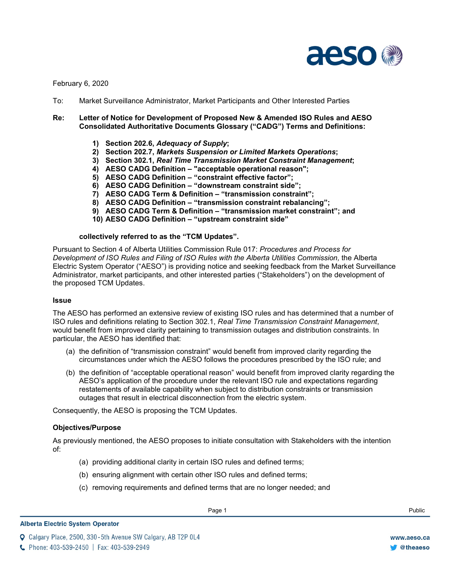

February 6, 2020

To: Market Surveillance Administrator, Market Participants and Other Interested Parties

## **Re: Letter of Notice for Development of Proposed New & Amended ISO Rules and AESO Consolidated Authoritative Documents Glossary ("CADG") Terms and Definitions:**

- **1) Section 202.6,** *Adequacy of Supply***;**
- **2) Section 202.7,** *Markets Suspension or Limited Markets Operations***;**
- **3) Section 302.1,** *Real Time Transmission Market Constraint Management***;**
- **4) AESO CADG Definition – "acceptable operational reason";**
- **5) AESO CADG Definition – "constraint effective factor";**
- **6) AESO CADG Definition – "downstream constraint side";**
- **7) AESO CADG Term & Definition – "transmission constraint";**
- **8) AESO CADG Definition – "transmission constraint rebalancing";**
- **9) AESO CADG Term & Definition – "transmission market constraint"; and**
- **10) AESO CADG Definition – "upstream constraint side"**

### **collectively referred to as the "TCM Updates".**

Pursuant to Section 4 of Alberta Utilities Commission Rule 017: *Procedures and Process for*  Development of ISO Rules and Filing of ISO Rules with the Alberta Utilities Commission, the Alberta Electric System Operator ("AESO") is providing notice and seeking feedback from the Market Surveillance Administrator, market participants, and other interested parties ("Stakeholders") on the development of the proposed TCM Updates.

#### **Issue**

The AESO has performed an extensive review of existing ISO rules and has determined that a number of ISO rules and definitions relating to Section 302.1, *Real Time Transmission Constraint Management*, would benefit from improved clarity pertaining to transmission outages and distribution constraints. In particular, the AESO has identified that:

- (a) the definition of "transmission constraint" would benefit from improved clarity regarding the circumstances under which the AESO follows the procedures prescribed by the ISO rule; and
- (b) the definition of "acceptable operational reason" would benefit from improved clarity regarding the AESO's application of the procedure under the relevant ISO rule and expectations regarding restatements of available capability when subject to distribution constraints or transmission outages that result in electrical disconnection from the electric system.

Consequently, the AESO is proposing the TCM Updates.

### **Objectives/Purpose**

As previously mentioned, the AESO proposes to initiate consultation with Stakeholders with the intention of:

- (a) providing additional clarity in certain ISO rules and defined terms;
- (b) ensuring alignment with certain other ISO rules and defined terms;
- (c) removing requirements and defined terms that are no longer needed; and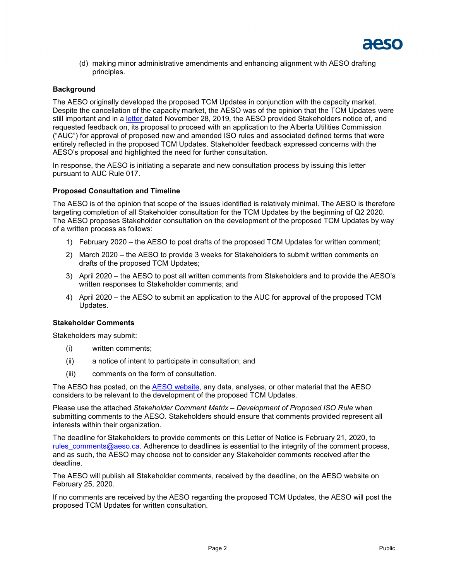

(d) making minor administrative amendments and enhancing alignment with AESO drafting principles.

# **Background**

The AESO originally developed the proposed TCM Updates in conjunction with the capacity market. Despite the cancellation of the capacity market, the AESO was of the opinion that the TCM Updates were still important and in a [letter d](https://www.aeso.ca/assets/Uploads/LoN-for-Development-of-Transmission-Constraints-EAS.pdf)ated November 28, 2019, the AESO provided Stakeholders notice of, and requested feedback on, its proposal to proceed with an application to the Alberta Utilities Commission ("AUC") for approval of proposed new and amended ISO rules and associated defined terms that were entirely reflected in the proposed TCM Updates. Stakeholder feedback expressed concerns with the AESO's proposal and highlighted the need for further consultation.

In response, the AESO is initiating a separate and new consultation process by issuing this letter pursuant to AUC Rule 017.

### **Proposed Consultation and Timeline**

The AESO is of the opinion that scope of the issues identified is relatively minimal. The AESO is therefore targeting completion of all Stakeholder consultation for the TCM Updates by the beginning of Q2 2020. The AESO proposes Stakeholder consultation on the development of the proposed TCM Updates by way of a written process as follows:

- 1) February 2020 the AESO to post drafts of the proposed TCM Updates for written comment;
- 2) March 2020 the AESO to provide 3 weeks for Stakeholders to submit written comments on drafts of the proposed TCM Updates;
- 3) April 2020 the AESO to post all written comments from Stakeholders and to provide the AESO's written responses to Stakeholder comments; and
- 4) April 2020 the AESO to submit an application to the AUC for approval of the proposed TCM Updates.

#### **Stakeholder Comments**

Stakeholders may submit:

- (i) written comments;
- (ii) a notice of intent to participate in consultation; and
- (iii) comments on the form of consultation.

The AESO has posted, on the **AESO website**, any data, analyses, or other material that the AESO considers to be relevant to the development of the proposed TCM Updates.

Please use the attached *Stakeholder Comment Matrix – Development of Proposed ISO Rule* when submitting comments to the AESO. Stakeholders should ensure that comments provided represent all interests within their organization.

The deadline for Stakeholders to provide comments on this Letter of Notice is February 21, 2020, to rules comments@aeso.ca. Adherence to deadlines is essential to the integrity of the comment process, and as such, the AESO may choose not to consider any Stakeholder comments received after the deadline.

The AESO will publish all Stakeholder comments, received by the deadline, on the AESO website on February 25, 2020.

If no comments are received by the AESO regarding the proposed TCM Updates, the AESO will post the proposed TCM Updates for written consultation.